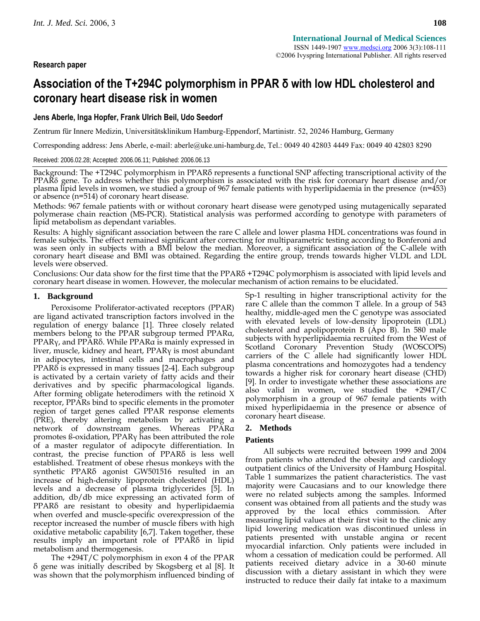# **Research paper**

# **Association of the T+294C polymorphism in PPAR δ with low HDL cholesterol and coronary heart disease risk in women**

# **Jens Aberle, Inga Hopfer, Frank Ulrich Beil, Udo Seedorf**

Zentrum für Innere Medizin, Universitätsklinikum Hamburg-Eppendorf, Martinistr. 52, 20246 Hamburg, Germany

Corresponding address: Jens Aberle, e-mail: aberle@uke.uni-hamburg.de, Tel.: 0049 40 42803 4449 Fax: 0049 40 42803 8290

Received: 2006.02.28; Accepted: 2006.06.11; Published: 2006.06.13

Background: The +T294C polymorphism in PPARδ represents a functional SNP affecting transcriptional activity of the PPARδ gene. To address whether this polymorphism is associated with the risk for coronary heart disease and/or plasma lipid levels in women, we studied a group of 967 female patients with hyperlipidaemia in the presence (n=453) or absence (n=514) of coronary heart disease.

Methods: 967 female patients with or without coronary heart disease were genotyped using mutagenically separated<br>polymerase chain reaction (MS-PCR). Statistical analysis was performed according to genotype with parameters

Results: A highly significant association between the rare C allele and lower plasma HDL concentrations was found in female subjects. The effect remained significant after correcting for multiparametric testing according to Bonferoni and<br>was seen only in subjects with a BMI below the median. Moreover, a significant association of the C-a coronary heart disease and BMI was obtained. Regarding the entire group, trends towards higher VLDL and LDL levels were observed.

Conclusions: Our data show for the first time that the PPAR $\delta$  +T294C polymorphism is associated with lipid levels and coronary heart disease in women. However, the molecular mechanism of action remains to be elucidated.

## **1. Background**

Peroxisome Proliferator-activated receptors (PPAR) are ligand activated transcription factors involved in the regulation of energy balance [1]. Three closely related members belong to the PPAR subgroup termed PPARα, PPARγ, and PPARδ. While PPARα is mainly expressed in liver, muscle, kidney and heart, PPARγ is most abundant in adipocytes, intestinal cells and macrophages and PPARδ is expressed in many tissues [2-4]. Each subgroup is activated by a certain variety of fatty acids and their derivatives and by specific pharmacological ligands. After forming obligate heterodimers with the retinoid X receptor, PPARs bind to specific elements in the promoter region of target genes called PPAR response elements (PRE), thereby altering metabolism by activating a network of downstream genes. Whereas PPARα promotes ß-oxidation, PPARγ has been attributed the role of a master regulator of adipocyte differentiation. In contrast, the precise function of PPARδ is less well established. Treatment of obese rhesus monkeys with the synthetic PPARδ agonist GW501516 resulted in an increase of high-density lipoprotein cholesterol (HDL) levels and a decrease of plasma triglycerides [5]. In addition, db/db mice expressing an activated form of PPARδ are resistant to obesity and hyperlipidaemia when overfed and muscle-specific overexpression of the receptor increased the number of muscle fibers with high oxidative metabolic capability [6,7]. Taken together, these results imply an important role of PPARδ in lipid metabolism and thermogenesis.

The +294T/C polymorphism in exon 4 of the PPAR δ gene was initially described by Skogsberg et al [8]. It was shown that the polymorphism influenced binding of Sp-1 resulting in higher transcriptional activity for the rare C allele than the common T allele. In a group of 543 healthy, middle-aged men the C genotype was associated with elevated levels of low-density lipoprotein (LDL) cholesterol and apolipoprotein B (Apo B). In 580 male subjects with hyperlipidaemia recruited from the West of Scotland Coronary Prevention Study (WOSCOPS) carriers of the C allele had significantly lower HDL plasma concentrations and homozygotes had a tendency towards a higher risk for coronary heart disease (CHD) [9]. In order to investigate whether these associations are also valid in women, we studied the +294T/C polymorphism in a group of 967 female patients with mixed hyperlipidaemia in the presence or absence of coronary heart disease.

# **2. Methods**

# **Patients**

All subjects were recruited between 1999 and 2004 from patients who attended the obesity and cardiology outpatient clinics of the University of Hamburg Hospital. Table 1 summarizes the patient characteristics. The vast majority were Caucasians and to our knowledge there were no related subjects among the samples. Informed consent was obtained from all patients and the study was approved by the local ethics commission. After measuring lipid values at their first visit to the clinic any lipid lowering medication was discontinued unless in patients presented with unstable angina or recent myocardial infarction. Only patients were included in whom a cessation of medication could be performed. All patients received dietary advice in a 30-60 minute discussion with a dietary assistant in which they were instructed to reduce their daily fat intake to a maximum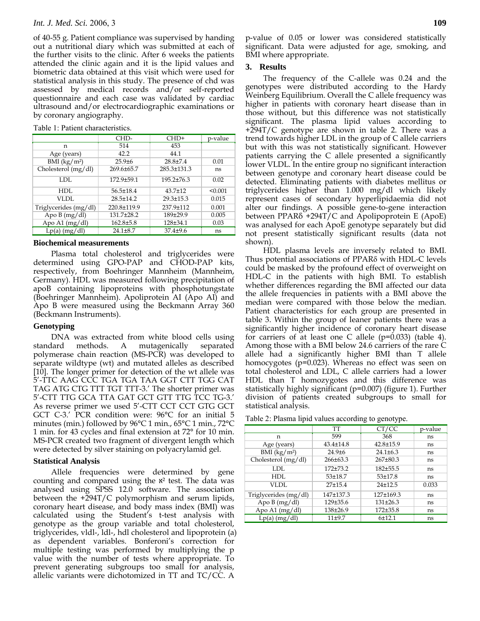## *Int. J. Med. Sci.* 2006, 3 **109**

of 40-55 g. Patient compliance was supervised by handing out a nutritional diary which was submitted at each of the further visits to the clinic. After 6 weeks the patients attended the clinic again and it is the lipid values and biometric data obtained at this visit which were used for statistical analysis in this study. The presence of chd was assessed by medical records and/or self-reported questionnaire and each case was validated by cardiac ultrasound and/or electrocardiographic examinations or by coronary angiography.

Table 1: Patient characteristics.

|                            | CHD-             | $CHD+$          | p-value |
|----------------------------|------------------|-----------------|---------|
| n                          | 514              | 453             |         |
| Age (years)                | 42.2             | 44.1            |         |
| $BMI$ (kg/m <sup>2</sup> ) | $25.9{\pm}6$     | $28.8 \pm 7.4$  | 0.01    |
| Cholesterol (mg/dl)        | $269.6 \pm 65.7$ | 285.3±131.3     | ns      |
| LDL.                       | 172.9±59.1       | 195.2±76.3      | 0.02    |
| HDL                        | $56.5 \pm 18.4$  | $43.7 \pm 12$   | < 0.001 |
| VLDL                       | $28.5 \pm 14.2$  | $29.3 \pm 15.3$ | 0.015   |
| Triglycerides (mg/dl)      | 220.8±119.9      | 237.9±112       | 0.001   |
| Apo $B(mg/dl)$             | $131.7 \pm 28.2$ | 189±29.9        | 0.005   |
| Apo A1 $(mg/dl)$           | $162.8 \pm 5.8$  | 128±34.1        | 0.03    |
| $Lp(a)$ (mg/dl)            | $24.1 \pm 8.7$   | $37.4 \pm 9.6$  | ns      |

#### **Biochemical measurements**

Plasma total cholesterol and triglycerides were determined using GPO-PAP and CHOD-PAP kits, respectively, from Boehringer Mannheim (Mannheim, Germany). HDL was measured following precipitation of apoB containing lipoproteins with phosphotungstate (Boehringer Mannheim). Apoliprotein AI (Apo AI) and Apo B were measured using the Beckmann Array 360 (Beckmann Instruments).

#### **Genotyping**

DNA was extracted from white blood cells using<br>dard methods. A mutagenically separated standard methods. A mutagenically separated polymerase chain reaction (MS-PCR) was developed to separate wildtype (wt) and mutated alleles as described [10]. The longer primer for detection of the wt allele was 5'-TTC AAG CCC TGA TGA TAA GGT CTT TGG CAT TAG ATG CTG TTT TGT TTT-3.' The shorter primer was 5'-CTT TTG GCA TTA GAT GCT GTT TTG TCC TG-3.' As reverse primer we used 5'-CTT CCT CCT GTG GCT GCT C-3.' PCR condition were: 96°C for an initial 5 minutes (min.) followed by 96°C 1 min., 65°C 1 min., 72°C 1 min. for 43 cycles and final extension at 72° for 10 min. MS-PCR created two fragment of divergent length which were detected by silver staining on polyacrylamid gel.

#### **Statistical Analysis**

Allele frequencies were determined by gene counting and compared using the א² test. The data was analysed using SPSS 12.0 software. The association between the +294T/C polymorphism and serum lipids, coronary heart disease, and body mass index (BMI) was calculated using the Student's t-test analysis with genotype as the group variable and total cholesterol, triglycerides, vldl-, ldl-, hdl cholesterol and lipoprotein (a) as dependent variables. Bonferoni's correction for multiple testing was performed by multiplying the p value with the number of tests where appropriate. To prevent generating subgroups too small for analysis, allelic variants were dichotomized in TT and TC/CC. A

p-value of 0.05 or lower was considered statistically significant. Data were adjusted for age, smoking, and BMI where appropriate.

## **3. Results**

The frequency of the C-allele was 0.24 and the genotypes were distributed according to the Hardy Weinberg Equilibrium. Overall the C allele frequency was higher in patients with coronary heart disease than in those without, but this difference was not statistically significant. The plasma lipid values according to +294T/C genotype are shown in table 2. There was a trend towards higher LDL in the group of C allele carriers but with this was not statistically significant. However patients carrying the C allele presented a significantly lower VLDL. In the entire group no significant interaction between genotype and coronary heart disease could be detected. Eliminating patients with diabetes mellitus or triglycerides higher than 1.000 mg/dl which likely represent cases of secondary hyperlipidaemia did not alter our findings. A possible gene-to-gene interaction between PPARδ +294T/C and Apolipoprotein E (ApoE) was analysed for each ApoE genotype separately but did not present statistically significant results (data not shown).

HDL plasma levels are inversely related to BMI. Thus potential associations of PPARδ with HDL-C levels could be masked by the profound effect of overweight on HDL-C in the patients with high BMI. To establish whether differences regarding the BMI affected our data the allele frequencies in patients with a BMI above the median were compared with those below the median. Patient characteristics for each group are presented in table 3. Within the group of leaner patients there was a significantly higher incidence of coronary heart disease for carriers of at least one C allele  $(p=0.033)$  (table 4). Among those with a BMI below 24.6 carriers of the rare C allele had a significantly higher BMI than T allele homocygotes ( $p=0.023$ ). Whereas no effect was seen on total cholesterol and LDL, C allele carriers had a lower HDL than T homozygotes and this difference was statistically highly significant (p=0.007) (figure 1). Further division of patients created subgroups to small for statistical analysis.

Table 2: Plasma lipid values according to genotype.

|                            | TT              | CT/CC           | p-value |
|----------------------------|-----------------|-----------------|---------|
| n                          | 599             | 368             | ns      |
| Age (years)                | $43.4 \pm 14.8$ | $42.8 \pm 15.9$ | ns      |
| $BMI$ (kg/m <sup>2</sup> ) | $24.9{\pm}6$    | $24.1 \pm 6.3$  | ns      |
| Cholesterol (mg/dl)        | $266 \pm 63.3$  | $267\pm80.3$    | ns      |
| LDL.                       | $172 + 73.2$    | 182±55.5        | ns      |
| HDL                        | $53 + 18.7$     | $53 + 17.8$     | ns      |
| VLDL                       | $27 + 15.4$     | $24+12.5$       | 0.033   |
| Triglycerides (mg/dl)      | 147±137.3       | $127 \pm 169.3$ | ns      |
| Apo $B(mg/dl)$             | 129±35.6        | $131\pm26.3$    | ns      |
| Apo A1 (mg/dl)             | 138±26.9        | 172±35.8        | ns      |
| $Lp(a)$ (mg/dl)            | $11+9.7$        | 6±12.1          | ns      |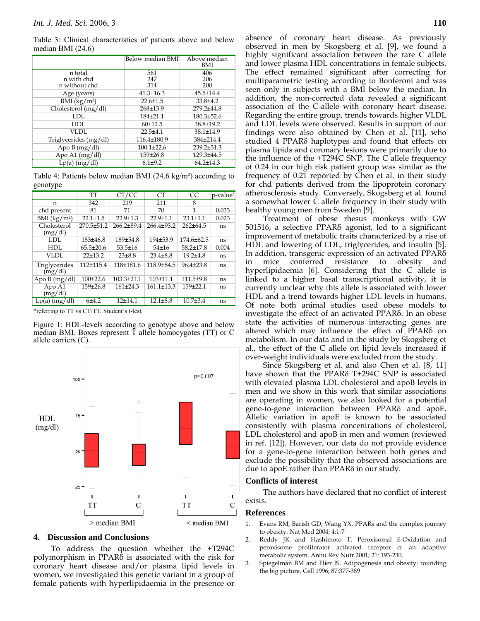Table 3: Clinical characteristics of patients above and below median BMI (24.6)

|                             | Below median BMI | Above median<br>BMI |
|-----------------------------|------------------|---------------------|
| n total                     | 561              | 406                 |
| n with chd<br>n without chd | 247<br>314       | 206<br>200          |
| Age (years)                 | $41.3 \pm 16.3$  | $45.5 \pm 14.4$     |
| BMI (kg/m <sup>2</sup> )    | $22.6 \pm 1.5$   | $33.8{\pm}4.2$      |
| Cholesterol (mg/dl)         | 268±13.9         | 279.2±44.8          |
| LDL.                        | 184±21.1         | $180.3 \pm 52.6$    |
| HDL                         | 60±12.5          | 38.8±19.2           |
| VLDL                        | $22.5 + 4.1$     | $38.1 \pm 14.9$     |
| Triglycerides (mg/dl)       | 116.4±180.9      | 384±214.4           |
| Apo $B(mg/dl)$              | $100.1 \pm 22.6$ | 239.2±31.3          |
| Apo A1 $(mg/dl)$            | 159±26.8         | 129.3±44.5          |
| $Lp(a)$ (mg/dl)             | $6.1 \pm 9.2$    | $64.2 \pm 14.3$     |

Table 4: Patients below median BMI (24.6 kg/m²) according to genotype

|                          | TT              | CT/CC            | CT.              | CC.              | p-value* |
|--------------------------|-----------------|------------------|------------------|------------------|----------|
| n                        | 342             | 219              | 211              | 8                |          |
| chd present              | 81              | 71               | 70               | 1                | 0.033    |
| BMI $(kg/m^2)$           | $22.1 \pm 1.5$  | $22.9 \pm 1.3$   | $22.9 \pm 1.1$   | $23.1 \pm 1.1$   | 0.023    |
| Cholesterol<br>(mg/dl)   | 270.5±51.2      | $266.2 + 89.4$   | $266.4 \pm 93.2$ | $262+64.5$       | ns       |
| LDL                      | $183+46.8$      | 189±54.8         | 194±53.9         | $174.6 \pm 62.5$ | ns       |
| HDL                      | $65.5 \pm 20.6$ | $53.5 \pm 16$    | 54±16            | $58.2 \pm 17.8$  | 0.004    |
| VLDL                     | $22+13.2$       | 23±8.8           | $23.4 \pm 8.8$   | $19.2 + 4.8$     | ns       |
| Triglycerides<br>(mg/dl) | 112±115.4       | 118±181.6        | 118.9±84.5       | $96.4 \pm 23.8$  | ns       |
| Apo B $(mg/dl)$          | $100+22.6$      | $103.3 \pm 21.1$ | $103 + 11.1$     | $111.5+9.8$      | ns       |
| Apo A1<br>(mg/dl)        | 159±26.8        | $161\pm24.3$     | $161.1 \pm 13.3$ | $159 + 22.1$     | ns       |
| $Lp(a)$ (mg/dl)          | 6±4.2           | $12+14.1$        | $12.1 \pm 8.8$   | $10.7{\pm}3.4$   | ns       |

\*referring to TT vs CT/TT; Student's t-test.

Figure 1: HDL-levels according to genotype above and below median BMI. Boxes represent T allele homocygotes (TT) or C allele carriers (C).



#### **4. Discussion and Conclusions**

To address the question whether the +T294C polymorphism in PPARδ is associated with the risk for coronary heart disease and/or plasma lipid levels in women, we investigated this genetic variant in a group of female patients with hyperlipidaemia in the presence or absence of coronary heart disease. As previously observed in men by Skogsberg et al. [9], we found a highly significant association between the rare C allele and lower plasma HDL concentrations in female subjects. The effect remained significant after correcting for multiparametric testing according to Bonferoni and was seen only in subjects with a BMI below the median. In addition, the non-corrected data revealed a significant association of the C-allele with coronary heart disease. Regarding the entire group, trends towards higher VLDL and LDL levels were observed. Results in support of our findings were also obtained by Chen et al. [11], who studied 4 PPARδ haplotypes and found that effects on plasma lipids and coronary lesions were primarily due to the influence of the +T294C SNP. The C allele frequency of 0.24 in our high risk patient group was similar as the frequency of 0.21 reported by Chen et al. in their study for chd patients derived from the lipoprotein coronary atherosclerosis study. Conversely, Skogsberg et al. found a somewhat lower C allele frequency in their study with healthy young men from Sweden [9].

Treatment of obese rhesus monkeys with GW 501516, a selective PPARδ agonist, led to a significant improvement of metabolic traits characterized by a rise of HDL and lowering of LDL, triglycerides, and insulin [5]. In addition, transgenic expression of an activated PPARδ in mice conferred resistance to obesity and hyperlipidaemia [6]. Considering that the C allele is linked to a higher basal transcriptional activity, it is currently unclear why this allele is associated with lower HDL and a trend towards higher LDL levels in humans. Of note both animal studies used obese models to investigate the effect of an activated PPARδ. In an obese state the activities of numerous interacting genes are altered which may influence the effect of PPARδ on metabolism. In our data and in the study by Skogsberg et al., the effect of the C allele on lipid levels increased if over-weight individuals were excluded from the study.

Since Skogsberg et al. and also Chen et al. [8, 11] have shown that the PPARδ T+294C SNP is associated with elevated plasma LDL cholesterol and apoB levels in men and we show in this work that similar associations are operating in women, we also looked for a potential gene-to-gene interaction between PPARδ and apoE. Allelic variation in apoE is known to be associated consistently with plasma concentrations of cholesterol, LDL cholesterol and apoB in men and women (reviewed in ref. [12]). However, our data do not provide evidence for a gene-to-gene interaction between both genes and exclude the possibility that the observed associations are due to apoE rather than PPARδ in our study.

### **Conflicts of interest**

The authors have declared that no conflict of interest exists.

#### **References**

- 1. Evans RM, Barish GD, Wang YX. PPARs and the complex journey to obesity. Nat Med 2004; 4:1-7
- 2. Reddy JK and Hashimoto T. Peroxisomal ß-Oxidation and peroxisome proliferator activated receptor α: an adaptive metabolic system. Annu Rev Nutr 2001; 21: 193-230.
- 3. Spiegelman BM and Flier JS. Adipogenesis and obesity: rounding the big picture. Cell 1996; 87:377-389